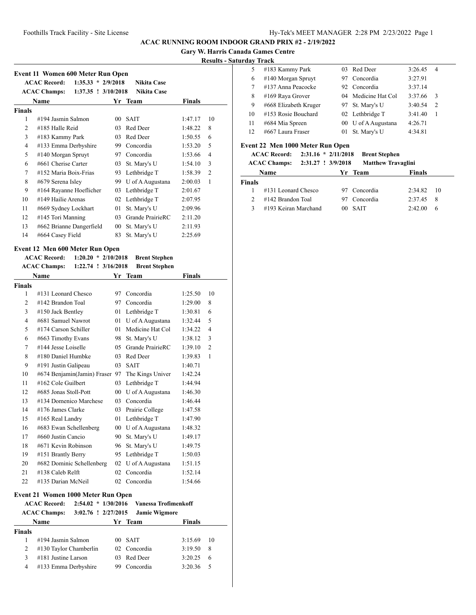**Gary W. Harris Canada Games Centre**

## **Results - Saturday Track**

| Event 11 Women 600 Meter Run Open |                                                |    |                    |               |                |  |  |
|-----------------------------------|------------------------------------------------|----|--------------------|---------------|----------------|--|--|
|                                   | <b>ACAC Record:</b><br>$1:35.33 * 2/9/2018$    |    | <b>Nikita Case</b> |               |                |  |  |
|                                   | <b>ACAC Champs:</b><br>$1:37.35$ : $3/10/2018$ |    | <b>Nikita Case</b> |               |                |  |  |
|                                   | Name                                           |    | Yr Team            | <b>Finals</b> |                |  |  |
| <b>Finals</b>                     |                                                |    |                    |               |                |  |  |
| 1                                 | #194 Jasmin Salmon                             | 00 | <b>SAIT</b>        | 1:47.17       | 10             |  |  |
| $\mathcal{D}_{\mathcal{L}}$       | #185 Halle Reid                                | 03 | Red Deer           | 1:48.22       | 8              |  |  |
| 3                                 | #183 Kammy Park                                | 03 | Red Deer           | 1:50.55       | 6              |  |  |
| 4                                 | #133 Emma Derbyshire                           | 99 | Concordia          | 1:53.20       | 5              |  |  |
| 5                                 | #140 Morgan Spruyt                             | 97 | Concordia          | 1:53.66       | $\overline{4}$ |  |  |
| 6                                 | #661 Cherise Carter                            | 03 | St. Mary's U       | 1:54.10       | 3              |  |  |
| 7                                 | #152 Maria Boix-Frias                          | 93 | Lethbridge T       | 1:58.39       | $\overline{2}$ |  |  |
| 8                                 | #679 Serena Isley                              | 99 | U of A Augustana   | 2:00.03       | 1              |  |  |
| 9                                 | #164 Rayanne Hoeflicher                        | 03 | Lethbridge T       | 2:01.67       |                |  |  |
| 10                                | #149 Hailie Arenas                             | 02 | Lethbridge T       | 2:07.95       |                |  |  |
| 11                                | #669 Sydney Lockhart                           | 01 | St. Mary's U       | 2:09.96       |                |  |  |
| 12                                | #145 Tori Manning                              | 03 | Grande PrairieRC   | 2:11.20       |                |  |  |
| 13                                | #662 Brianne Dangerfield                       | 00 | St. Mary's U       | 2:11.93       |                |  |  |
| 14                                | #664 Casey Field                               | 83 | St. Mary's U       | 2:25.69       |                |  |  |

## **Event 12 Men 600 Meter Run Open**

|                | <b>ACAC Record:</b><br>$1:20.20 * 2/10/2018$ |     | <b>Brent Stephen</b> |               |                |
|----------------|----------------------------------------------|-----|----------------------|---------------|----------------|
|                | <b>ACAC Champs:</b><br>1:22.74 ! 3/16/2018   |     | <b>Brent Stephen</b> |               |                |
|                | <b>Name</b>                                  | Yr  | Team                 | <b>Finals</b> |                |
| <b>Finals</b>  |                                              |     |                      |               |                |
| 1              | #131 Leonard Chesco                          | 97  | Concordia            | 1:25.50       | 10             |
| $\overline{2}$ | #142 Brandon Toal                            | 97  | Concordia            | 1:29.00       | 8              |
| 3              | #150 Jack Bentley                            | 01  | Lethbridge T         | 1:30.81       | 6              |
| $\overline{4}$ | #681 Samuel Nawrot                           | 01  | U of A Augustana     | 1:32.44       | 5              |
| 5              | #174 Carson Schiller                         | 01  | Medicine Hat Col     | 1:34.22       | $\overline{4}$ |
| 6              | #663 Timothy Evans                           | 98  | St. Mary's U         | 1:38.12       | 3              |
| 7              | #144 Jesse Loiselle                          | 0.5 | Grande PrairieRC     | 1:39.10       | $\overline{2}$ |
| 8              | #180 Daniel Humbke                           | 03  | Red Deer             | 1:39.83       | 1              |
| 9              | #191 Justin Galipeau                         | 03  | <b>SAIT</b>          | 1:40.71       |                |
| 10             | #674 Benjamin(Jamin) Fraser                  | 97  | The Kings Univer     | 1:42.24       |                |
| 11             | #162 Cole Guilbert                           | 03  | Lethbridge T         | 1:44.94       |                |
| 12             | #685 Jonas Stoll-Pott                        | 00  | U of A Augustana     | 1:46.30       |                |
| 13             | #134 Domenico Marchese                       | 03  | Concordia            | 1:46.44       |                |
| 14             | #176 James Clarke                            | 03  | Prairie College      | 1:47.58       |                |
| 15             | #165 Real Landry                             | 01  | Lethbridge T         | 1:47.90       |                |
| 16             | #683 Ewan Schellenberg                       | 00  | U of A Augustana     | 1:48.32       |                |
| 17             | #660 Justin Cancio                           | 90  | St. Mary's U         | 1:49.17       |                |
| 18             | #671 Kevin Robinson                          | 96  | St. Mary's U         | 1:49.75       |                |
| 19             | #151 Brantly Berry                           | 95  | Lethbridge T         | 1:50.03       |                |
| 20             | #682 Dominic Schellenberg                    | 02  | U of A Augustana     | 1:51.15       |                |
| 21             | #138 Caleb Relft                             | 02  | Concordia            | 1:52.14       |                |
| 22             | #135 Darian McNeil                           | 02  | Concordia            | 1:54.66       |                |
|                |                                              |     |                      |               |                |

## **Event 21 Women 1000 Meter Run Open**

| <b>Name</b> |                                                                |                                                                                                | <b>Finals</b>                                                                                                   |                                                     |
|-------------|----------------------------------------------------------------|------------------------------------------------------------------------------------------------|-----------------------------------------------------------------------------------------------------------------|-----------------------------------------------------|
|             |                                                                |                                                                                                |                                                                                                                 |                                                     |
|             |                                                                | 00 <sup>1</sup>                                                                                | 3:15.69                                                                                                         | 10                                                  |
|             |                                                                |                                                                                                | 3:19.50                                                                                                         | 8                                                   |
|             |                                                                | 03                                                                                             | 3:20.25                                                                                                         | 6                                                   |
|             |                                                                | 99.                                                                                            | 3:20.36                                                                                                         | - 5                                                 |
| 3           | <b>ACAC Record:</b><br><b>ACAC Champs:</b><br>Finals<br>2<br>4 | $\#194$ Jasmin Salmon<br>#130 Taylor Chamberlin<br>#181 Justine Larson<br>#133 Emma Derbyshire | $2:54.02 * 1/30/2016$<br>3:02.76 ! 2/27/2015<br>Yr Team<br><b>SAIT</b><br>02 Concordia<br>Red Deer<br>Concordia | <b>Vanessa Trofimenkoff</b><br><b>Jamie Wigmore</b> |

|     | чау паск              |     |                     |         |                |  |
|-----|-----------------------|-----|---------------------|---------|----------------|--|
| 5   | #183 Kammy Park       |     | 03 Red Deer         | 3:26.45 | 4              |  |
| 6   | #140 Morgan Spruyt    | 97. | Concordia           | 3:27.91 |                |  |
|     | #137 Anna Peacocke    |     | 92 Concordia        | 3:37.14 |                |  |
| 8   | #169 Raya Grover      |     | 04 Medicine Hat Col | 3:37.66 | 3              |  |
| 9   | #668 Elizabeth Kruger |     | 97 St. Mary's U     | 3:40.54 | $\overline{2}$ |  |
| 10  | #153 Rosie Bouchard   |     | 02 Lethbridge T     | 3:41.40 | -1             |  |
| 11  | #684 Mia Spreen       |     | 00 U of A Augustana | 4:26.71 |                |  |
| 12. | #667 Laura Fraser     | 01  | St. Mary's U        | 4:34.81 |                |  |
|     |                       |     |                     |         |                |  |

#### **Event 22 Men 1000 Meter Run Open**

**ACAC Record: 2:31.16 \* 2/11/2018 Brent Stephen**

|               | <b>ACAC Champs:</b>    | 2:31.27 ! 3/9/2018 |              | <b>Matthew Travaglini</b> |    |
|---------------|------------------------|--------------------|--------------|---------------------------|----|
|               | <b>Name</b>            |                    | Yr Team      | <b>Finals</b>             |    |
| <b>Finals</b> |                        |                    |              |                           |    |
|               | $\#131$ Leonard Chesco |                    | 97 Concordia | $2:34.82$ 10              |    |
|               | #142 Brandon Toal      |                    | 97 Concordia | 2.37.45                   | -8 |
| 3             | #193 Keiran Marchand   |                    | $00$ SAIT    | 2:42.00                   | 6  |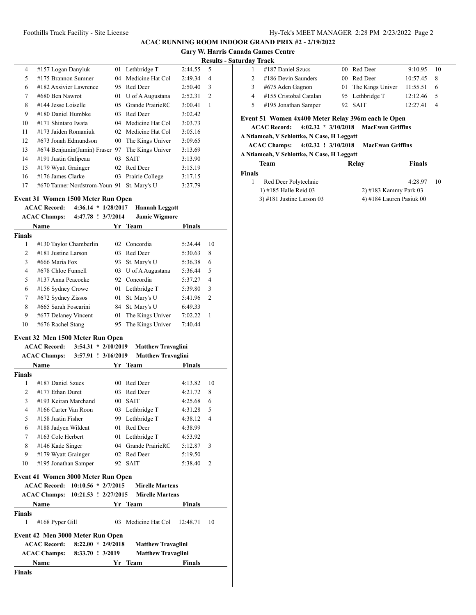| 4  | #157 Logan Danyluk            |    | 01 Lethbridge T     | 2:44.55 | 5              |
|----|-------------------------------|----|---------------------|---------|----------------|
| 5  | #175 Brannon Sumner           | 04 | Medicine Hat Col    | 2:49.34 | $\overline{4}$ |
| 6  | #182 Axsivier Lawrence        | 95 | Red Deer            | 2:50.40 | 3              |
| 7  | #680 Ben Nawrot               | 01 | U of A Augustana    | 2:52.31 | $\overline{c}$ |
| 8  | #144 Jesse Loiselle           | 05 | Grande PrairieRC    | 3:00.41 | 1              |
| 9  | #180 Daniel Humbke            | 03 | Red Deer            | 3:02.42 |                |
| 10 | #171 Shintaro Iwata           |    | 04 Medicine Hat Col | 3:03.73 |                |
| 11 | #173 Jaiden Romaniuk          | 02 | Medicine Hat Col    | 3:05.16 |                |
| 12 | #673 Jonah Edmundson          | 00 | The Kings Univer    | 3:09.65 |                |
| 13 | #674 Benjamin(Jamin) Fraser   | 97 | The Kings Univer    | 3:13.69 |                |
| 14 | #191 Justin Galipeau          | 03 | SAIT                | 3:13.90 |                |
| 15 | #179 Wyatt Grainger           | 02 | Red Deer            | 3:15.19 |                |
| 16 | #176 James Clarke             | 03 | Prairie College     | 3:17.15 |                |
| 17 | #670 Tanner Nordstrom-Youn 91 |    | St. Marv's U        | 3:27.79 |                |
|    |                               |    |                     |         |                |

## **Event 31 Women 1500 Meter Run Open**

#### **ACAC Record: 4:36.14 \* 1/28/2017 Hannah Leggatt**

|               | 4:47.78 ! 3/7/2014<br><b>ACAC Champs:</b> |      | <b>Jamie Wigmore</b> |         |                |
|---------------|-------------------------------------------|------|----------------------|---------|----------------|
|               | <b>Name</b>                               |      | Yr Team              |         |                |
| <b>Finals</b> |                                           |      |                      |         |                |
| 1             | #130 Taylor Chamberlin                    |      | 02 Concordia         | 5:24.44 | 10             |
| 2             | #181 Justine Larson                       | 03   | Red Deer             | 5:30.63 | 8              |
| 3             | #666 Maria Fox                            | 93.  | St. Mary's U         | 5:36.38 | 6              |
| 4             | #678 Chloe Funnell                        |      | 03 U of A Augustana  | 5:36.44 | 5              |
| 5             | #137 Anna Peacocke                        | 92   | Concordia            | 5:37.27 | $\overline{4}$ |
| 6             | #156 Sydney Crowe                         |      | 01 Lethbridge T      | 5:39.80 | 3              |
| 7             | #672 Sydney Zissos                        | 01   | St. Mary's U         | 5:41.96 | $\overline{2}$ |
| 8             | #665 Sarah Foscarini                      | 84 - | St. Mary's U         | 6:49.33 |                |
| 9             | #677 Delaney Vincent                      | 01   | The Kings Univer     | 7:02.22 | 1              |
| 10            | #676 Rachel Stang                         | 95   | The Kings Univer     | 7:40.44 |                |
|               | Event 32 Men 1500 Meter Run Open          |      |                      |         |                |

|                | <b>ACAC Record:</b>                | $3:54.31 * 2/10/2019$ |                 | <b>Matthew Travaglini</b>            |               |                |
|----------------|------------------------------------|-----------------------|-----------------|--------------------------------------|---------------|----------------|
|                | <b>ACAC Champs:</b>                | 3:57.91 ! 3/16/2019   |                 | <b>Matthew Travaglini</b>            |               |                |
|                | <b>Name</b>                        |                       |                 | Yr Team                              | <b>Finals</b> |                |
| <b>Finals</b>  |                                    |                       |                 |                                      |               |                |
| 1              | #187 Daniel Szucs                  |                       | 00 <sup>1</sup> | Red Deer                             | 4:13.82       | 10             |
| $\overline{c}$ | #177 Ethan Duret                   |                       | 03              | Red Deer                             | 4:21.72       | 8              |
| 3              | #193 Keiran Marchand               |                       | 00              | <b>SAIT</b>                          | 4:25.68       | 6              |
| $\overline{4}$ | #166 Carter Van Roon               |                       |                 | 03 Lethbridge T                      | 4:31.28       | 5              |
| 5              | #158 Justin Fisher                 |                       | 99.             | Lethbridge T                         | 4:38.12       | 4              |
| 6              | #188 Jadyen Wildcat                |                       | 01              | Red Deer                             | 4:38.99       |                |
| 7              | #163 Cole Herbert                  |                       |                 | 01 Lethbridge T                      | 4:53.92       |                |
| 8              | #146 Kade Singer                   |                       |                 | 04 Grande PrairieRC                  | 5:12.87       | 3              |
| 9              | #179 Wyatt Grainger                |                       | 02              | Red Deer                             | 5:19.50       |                |
| 10             | #195 Jonathan Samper               |                       |                 | 92 SAIT                              | 5:38.40       | $\overline{c}$ |
|                | Event 41 Women 3000 Meter Run Open |                       |                 |                                      |               |                |
|                | ACAC Record: 10:10.56 * 2/7/2015   |                       |                 | <b>Mirelle Martens</b>               |               |                |
|                | <b>ACAC Champs:</b>                |                       |                 | 10:21.53 ! 2/27/2015 Mirelle Martens |               |                |
|                | <b>Name</b>                        |                       |                 | Yr Team                              | <b>Finals</b> |                |
| <b>Finals</b>  |                                    |                       |                 |                                      |               |                |
| 1              | #168 Pyper Gill                    |                       | 03              | Medicine Hat Col                     | 12:48.71      | 10             |
|                | Event 42 Men 3000 Meter Run Open   |                       |                 |                                      |               |                |
|                | <b>ACAC Record:</b>                | $8:22.00 * 2/9/2018$  |                 | <b>Matthew Travaglini</b>            |               |                |
|                | <b>ACAC Champs:</b>                | 8:33.70 ! 3/2019      |                 | <b>Matthew Travaglini</b>            |               |                |
|                | <b>Name</b>                        |                       | Yr              | <b>Team</b>                          | <b>Finals</b> |                |
| <b>Finals</b>  |                                    |                       |                 |                                      |               |                |

|   | #187 Daniel Szucs      | 00 Red Deer         | 9:10.95  | $\sqrt{10}$    |  |
|---|------------------------|---------------------|----------|----------------|--|
|   | #186 Devin Saunders    | 00 Red Deer         | 10:57.45 | - 8            |  |
| 3 | #675 Aden Gagnon       | 01 The Kings Univer | 11:55.51 | - 6            |  |
| 4 | #155 Cristobal Catalan | 95 Lethbridge T     | 12:12.46 | - 5            |  |
|   | #195 Jonathan Samper   | 92 SAIT             | 12:27.41 | $\overline{4}$ |  |
|   |                        |                     |          |                |  |

## **Event 51 Women 4x400 Meter Relay 396m each le Open**

**ACAC Record: 4:02.32 \* 3/10/2018 MacEwan Griffins**

## **A Ntiamoah, V Schlottke, N Case, H Leggatt**

## **ACAC Champs: 4:02.32 ! 3/10/2018 MacEwan Griffins**

## **A Ntiamoah, V Schlottke, N Case, H Leggatt**

| Team                        | Relav                      | <b>Finals</b>         |     |
|-----------------------------|----------------------------|-----------------------|-----|
| <b>Finals</b>               |                            |                       |     |
| Red Deer Polytechnic        |                            | 4:28.97               | -10 |
| 1) $\#185$ Halle Reid 03    |                            | 2) #183 Kammy Park 03 |     |
| $3)$ #181 Justine Larson 03 |                            |                       |     |
|                             | 4) #184 Lauren Pasiuk $00$ |                       |     |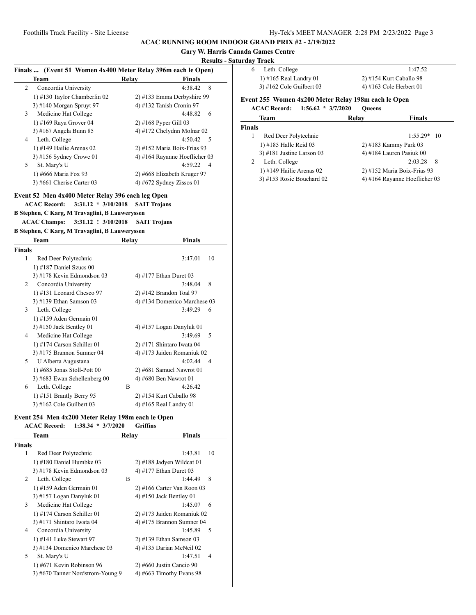## **Gary W. Harris Canada Games Centre**

## **Results - Saturday Track**

| Finals  (Event 51 Women 4x400 Meter Relay 396m each le Open)<br>1) #165 Real Landry 01<br>2) #154 Kurt Caballo 98<br><b>Team</b><br>Relay<br><b>Finals</b><br>3) #162 Cole Guilbert $03$<br>4) #163 Cole Herbert 01<br>Concordia University<br>4:38.42 8<br>2<br>1) #130 Taylor Chamberlin 02<br>2) #133 Emma Derbyshire 99<br>Event 255 Women 4x200 Meter Relay 198m each le Open<br>3) #140 Morgan Spruyt 97<br>4) #132 Tanish Cronin 97<br><b>ACAC Record:</b><br>$1:56.62 * 3/7/2020$<br><b>Oueens</b><br>Medicine Hat College<br>4:48.82<br>6<br>3<br><b>Team</b><br>Relay<br><b>Finals</b><br>1) #169 Raya Grover 04<br>$2)$ #168 Pyper Gill 03<br>Finals<br>3) #167 Angela Bunn 85<br>4) #172 Chelydnn Molnar 02<br>Red Deer Polytechnic<br>$1:55.29*$ 10<br>1<br>Leth. College<br>$4:50.42 \quad 5$<br>4<br>1) #185 Halle Reid 03<br>2) #183 Kammy Park 03<br>1) #149 Hailie Arenas $02$<br>2) #152 Maria Boix-Frias 93<br>3) #181 Justine Larson $03$<br>4) #184 Lauren Pasiuk 00<br>4) #164 Rayanne Hoeflicher 03<br>$3)$ #156 Sydney Crowe 01<br>2:03.28<br>Leth. College<br>8<br>2<br>4:59.22 4<br>5<br>St. Mary's U<br>1) #149 Hailie Arenas $02$<br>2) #152 Maria Boix-Frias 93<br>1) #666 Maria Fox 93<br>2) #668 Elizabeth Kruger 97<br>3) #153 Rosie Bouchard 02<br>4) #164 Rayanne Hoeflicher 03<br>3) #661 Cherise Carter 03<br>4) #672 Sydney Zissos 01<br>Event 52 Men 4x400 Meter Relay 396 each leg Open<br>3:31.12 * 3/10/2018 SAIT Trojans<br><b>ACAC Record:</b><br>B Stephen, C Karg, M Travaglini, B Lauweryssen<br><b>ACAC Champs:</b><br>3:31.12 ! 3/10/2018<br><b>SAIT Trojans</b><br>B Stephen, C Karg, M Travaglini, B Lauweryssen<br><b>Finals</b><br>Team<br>Relay<br><b>Finals</b><br>Red Deer Polytechnic<br>1<br>3:47.01<br>-10<br>1) #187 Daniel Szucs $00$<br>3) #178 Kevin Edmondson 03<br>4) #177 Ethan Duret 03<br>Concordia University<br>3:48.04<br>8<br>2<br>1) #131 Leonard Chesco 97<br>2) #142 Brandon Toal 97<br>3) #139 Ethan Samson 03<br>4) #134 Domenico Marchese 03<br>Leth. College<br>$3:49.29$ 6<br>3<br>1) #159 Aden Germain 01<br>3) #150 Jack Bentley 01<br>4) #157 Logan Danyluk 01<br>Medicine Hat College<br>3:49.69<br>5<br>4<br>1) #174 Carson Schiller $01$<br>$2)$ #171 Shintaro Iwata 04<br>3) #175 Brannon Sumner 04<br>4) #173 Jaiden Romaniuk 02<br>U Alberta Augustana<br>4:02.44<br>$\overline{4}$<br>5<br>1) #685 Jonas Stoll-Pott 00<br>$2)$ #681 Samuel Nawrot 01<br>3) #683 Ewan Schellenberg 00<br>4) #680 Ben Nawrot 01<br>Leth. College<br>B<br>4:26.42<br>6<br>1) #151 Brantly Berry 95<br>2) #154 Kurt Caballo 98<br>3) #162 Cole Guilbert $03$<br>4) #165 Real Landry 01<br>Event 254 Men 4x200 Meter Relay 198m each le Open<br><b>ACAC Record:</b><br>$1:38.34 * 3/7/2020$<br><b>Griffins</b><br>Team<br><b>Finals</b><br>Relay<br>10<br>Red Deer Polytechnic<br>1:43.81<br>1<br>1) #180 Daniel Humbke 03<br>2) #188 Jadyen Wildcat 01<br>3) #178 Kevin Edmondson 03<br>4) #177 Ethan Duret 03<br>B<br>1:44.49<br>8<br>Leth. College<br>2<br>1) #159 Aden Germain 01<br>$2)$ #166 Carter Van Roon 03<br>3) #157 Logan Danyluk 01<br>4) #150 Jack Bentley 01<br>Medicine Hat College<br>$1:45.07$ 6<br>3<br>1) #174 Carson Schiller 01<br>2) #173 Jaiden Romaniuk 02<br>3) #171 Shintaro Iwata 04<br>4) #175 Brannon Sumner 04<br>Concordia University<br>$1:45.89$ 5<br>4<br>2) #139 Ethan Samson 03 |                         |  | Results - Saturuay Track |         |
|--------------------------------------------------------------------------------------------------------------------------------------------------------------------------------------------------------------------------------------------------------------------------------------------------------------------------------------------------------------------------------------------------------------------------------------------------------------------------------------------------------------------------------------------------------------------------------------------------------------------------------------------------------------------------------------------------------------------------------------------------------------------------------------------------------------------------------------------------------------------------------------------------------------------------------------------------------------------------------------------------------------------------------------------------------------------------------------------------------------------------------------------------------------------------------------------------------------------------------------------------------------------------------------------------------------------------------------------------------------------------------------------------------------------------------------------------------------------------------------------------------------------------------------------------------------------------------------------------------------------------------------------------------------------------------------------------------------------------------------------------------------------------------------------------------------------------------------------------------------------------------------------------------------------------------------------------------------------------------------------------------------------------------------------------------------------------------------------------------------------------------------------------------------------------------------------------------------------------------------------------------------------------------------------------------------------------------------------------------------------------------------------------------------------------------------------------------------------------------------------------------------------------------------------------------------------------------------------------------------------------------------------------------------------------------------------------------------------------------------------------------------------------------------------------------------------------------------------------------------------------------------------------------------------------------------------------------------------------------------------------------------------------------------------------------------------------------------------------------------------------------------------------------------------------------------------------------------------------------------------------------------------------------------------------------------------------------------------------------------------------------------------|-------------------------|--|--------------------------|---------|
|                                                                                                                                                                                                                                                                                                                                                                                                                                                                                                                                                                                                                                                                                                                                                                                                                                                                                                                                                                                                                                                                                                                                                                                                                                                                                                                                                                                                                                                                                                                                                                                                                                                                                                                                                                                                                                                                                                                                                                                                                                                                                                                                                                                                                                                                                                                                                                                                                                                                                                                                                                                                                                                                                                                                                                                                                                                                                                                                                                                                                                                                                                                                                                                                                                                                                                                                                                                            |                         |  | Leth. College<br>6       | 1:47.52 |
|                                                                                                                                                                                                                                                                                                                                                                                                                                                                                                                                                                                                                                                                                                                                                                                                                                                                                                                                                                                                                                                                                                                                                                                                                                                                                                                                                                                                                                                                                                                                                                                                                                                                                                                                                                                                                                                                                                                                                                                                                                                                                                                                                                                                                                                                                                                                                                                                                                                                                                                                                                                                                                                                                                                                                                                                                                                                                                                                                                                                                                                                                                                                                                                                                                                                                                                                                                                            |                         |  |                          |         |
|                                                                                                                                                                                                                                                                                                                                                                                                                                                                                                                                                                                                                                                                                                                                                                                                                                                                                                                                                                                                                                                                                                                                                                                                                                                                                                                                                                                                                                                                                                                                                                                                                                                                                                                                                                                                                                                                                                                                                                                                                                                                                                                                                                                                                                                                                                                                                                                                                                                                                                                                                                                                                                                                                                                                                                                                                                                                                                                                                                                                                                                                                                                                                                                                                                                                                                                                                                                            |                         |  |                          |         |
|                                                                                                                                                                                                                                                                                                                                                                                                                                                                                                                                                                                                                                                                                                                                                                                                                                                                                                                                                                                                                                                                                                                                                                                                                                                                                                                                                                                                                                                                                                                                                                                                                                                                                                                                                                                                                                                                                                                                                                                                                                                                                                                                                                                                                                                                                                                                                                                                                                                                                                                                                                                                                                                                                                                                                                                                                                                                                                                                                                                                                                                                                                                                                                                                                                                                                                                                                                                            |                         |  |                          |         |
|                                                                                                                                                                                                                                                                                                                                                                                                                                                                                                                                                                                                                                                                                                                                                                                                                                                                                                                                                                                                                                                                                                                                                                                                                                                                                                                                                                                                                                                                                                                                                                                                                                                                                                                                                                                                                                                                                                                                                                                                                                                                                                                                                                                                                                                                                                                                                                                                                                                                                                                                                                                                                                                                                                                                                                                                                                                                                                                                                                                                                                                                                                                                                                                                                                                                                                                                                                                            |                         |  |                          |         |
|                                                                                                                                                                                                                                                                                                                                                                                                                                                                                                                                                                                                                                                                                                                                                                                                                                                                                                                                                                                                                                                                                                                                                                                                                                                                                                                                                                                                                                                                                                                                                                                                                                                                                                                                                                                                                                                                                                                                                                                                                                                                                                                                                                                                                                                                                                                                                                                                                                                                                                                                                                                                                                                                                                                                                                                                                                                                                                                                                                                                                                                                                                                                                                                                                                                                                                                                                                                            |                         |  |                          |         |
|                                                                                                                                                                                                                                                                                                                                                                                                                                                                                                                                                                                                                                                                                                                                                                                                                                                                                                                                                                                                                                                                                                                                                                                                                                                                                                                                                                                                                                                                                                                                                                                                                                                                                                                                                                                                                                                                                                                                                                                                                                                                                                                                                                                                                                                                                                                                                                                                                                                                                                                                                                                                                                                                                                                                                                                                                                                                                                                                                                                                                                                                                                                                                                                                                                                                                                                                                                                            |                         |  |                          |         |
|                                                                                                                                                                                                                                                                                                                                                                                                                                                                                                                                                                                                                                                                                                                                                                                                                                                                                                                                                                                                                                                                                                                                                                                                                                                                                                                                                                                                                                                                                                                                                                                                                                                                                                                                                                                                                                                                                                                                                                                                                                                                                                                                                                                                                                                                                                                                                                                                                                                                                                                                                                                                                                                                                                                                                                                                                                                                                                                                                                                                                                                                                                                                                                                                                                                                                                                                                                                            |                         |  |                          |         |
|                                                                                                                                                                                                                                                                                                                                                                                                                                                                                                                                                                                                                                                                                                                                                                                                                                                                                                                                                                                                                                                                                                                                                                                                                                                                                                                                                                                                                                                                                                                                                                                                                                                                                                                                                                                                                                                                                                                                                                                                                                                                                                                                                                                                                                                                                                                                                                                                                                                                                                                                                                                                                                                                                                                                                                                                                                                                                                                                                                                                                                                                                                                                                                                                                                                                                                                                                                                            |                         |  |                          |         |
|                                                                                                                                                                                                                                                                                                                                                                                                                                                                                                                                                                                                                                                                                                                                                                                                                                                                                                                                                                                                                                                                                                                                                                                                                                                                                                                                                                                                                                                                                                                                                                                                                                                                                                                                                                                                                                                                                                                                                                                                                                                                                                                                                                                                                                                                                                                                                                                                                                                                                                                                                                                                                                                                                                                                                                                                                                                                                                                                                                                                                                                                                                                                                                                                                                                                                                                                                                                            |                         |  |                          |         |
|                                                                                                                                                                                                                                                                                                                                                                                                                                                                                                                                                                                                                                                                                                                                                                                                                                                                                                                                                                                                                                                                                                                                                                                                                                                                                                                                                                                                                                                                                                                                                                                                                                                                                                                                                                                                                                                                                                                                                                                                                                                                                                                                                                                                                                                                                                                                                                                                                                                                                                                                                                                                                                                                                                                                                                                                                                                                                                                                                                                                                                                                                                                                                                                                                                                                                                                                                                                            |                         |  |                          |         |
|                                                                                                                                                                                                                                                                                                                                                                                                                                                                                                                                                                                                                                                                                                                                                                                                                                                                                                                                                                                                                                                                                                                                                                                                                                                                                                                                                                                                                                                                                                                                                                                                                                                                                                                                                                                                                                                                                                                                                                                                                                                                                                                                                                                                                                                                                                                                                                                                                                                                                                                                                                                                                                                                                                                                                                                                                                                                                                                                                                                                                                                                                                                                                                                                                                                                                                                                                                                            |                         |  |                          |         |
|                                                                                                                                                                                                                                                                                                                                                                                                                                                                                                                                                                                                                                                                                                                                                                                                                                                                                                                                                                                                                                                                                                                                                                                                                                                                                                                                                                                                                                                                                                                                                                                                                                                                                                                                                                                                                                                                                                                                                                                                                                                                                                                                                                                                                                                                                                                                                                                                                                                                                                                                                                                                                                                                                                                                                                                                                                                                                                                                                                                                                                                                                                                                                                                                                                                                                                                                                                                            |                         |  |                          |         |
|                                                                                                                                                                                                                                                                                                                                                                                                                                                                                                                                                                                                                                                                                                                                                                                                                                                                                                                                                                                                                                                                                                                                                                                                                                                                                                                                                                                                                                                                                                                                                                                                                                                                                                                                                                                                                                                                                                                                                                                                                                                                                                                                                                                                                                                                                                                                                                                                                                                                                                                                                                                                                                                                                                                                                                                                                                                                                                                                                                                                                                                                                                                                                                                                                                                                                                                                                                                            |                         |  |                          |         |
|                                                                                                                                                                                                                                                                                                                                                                                                                                                                                                                                                                                                                                                                                                                                                                                                                                                                                                                                                                                                                                                                                                                                                                                                                                                                                                                                                                                                                                                                                                                                                                                                                                                                                                                                                                                                                                                                                                                                                                                                                                                                                                                                                                                                                                                                                                                                                                                                                                                                                                                                                                                                                                                                                                                                                                                                                                                                                                                                                                                                                                                                                                                                                                                                                                                                                                                                                                                            |                         |  |                          |         |
|                                                                                                                                                                                                                                                                                                                                                                                                                                                                                                                                                                                                                                                                                                                                                                                                                                                                                                                                                                                                                                                                                                                                                                                                                                                                                                                                                                                                                                                                                                                                                                                                                                                                                                                                                                                                                                                                                                                                                                                                                                                                                                                                                                                                                                                                                                                                                                                                                                                                                                                                                                                                                                                                                                                                                                                                                                                                                                                                                                                                                                                                                                                                                                                                                                                                                                                                                                                            |                         |  |                          |         |
|                                                                                                                                                                                                                                                                                                                                                                                                                                                                                                                                                                                                                                                                                                                                                                                                                                                                                                                                                                                                                                                                                                                                                                                                                                                                                                                                                                                                                                                                                                                                                                                                                                                                                                                                                                                                                                                                                                                                                                                                                                                                                                                                                                                                                                                                                                                                                                                                                                                                                                                                                                                                                                                                                                                                                                                                                                                                                                                                                                                                                                                                                                                                                                                                                                                                                                                                                                                            |                         |  |                          |         |
|                                                                                                                                                                                                                                                                                                                                                                                                                                                                                                                                                                                                                                                                                                                                                                                                                                                                                                                                                                                                                                                                                                                                                                                                                                                                                                                                                                                                                                                                                                                                                                                                                                                                                                                                                                                                                                                                                                                                                                                                                                                                                                                                                                                                                                                                                                                                                                                                                                                                                                                                                                                                                                                                                                                                                                                                                                                                                                                                                                                                                                                                                                                                                                                                                                                                                                                                                                                            |                         |  |                          |         |
|                                                                                                                                                                                                                                                                                                                                                                                                                                                                                                                                                                                                                                                                                                                                                                                                                                                                                                                                                                                                                                                                                                                                                                                                                                                                                                                                                                                                                                                                                                                                                                                                                                                                                                                                                                                                                                                                                                                                                                                                                                                                                                                                                                                                                                                                                                                                                                                                                                                                                                                                                                                                                                                                                                                                                                                                                                                                                                                                                                                                                                                                                                                                                                                                                                                                                                                                                                                            |                         |  |                          |         |
|                                                                                                                                                                                                                                                                                                                                                                                                                                                                                                                                                                                                                                                                                                                                                                                                                                                                                                                                                                                                                                                                                                                                                                                                                                                                                                                                                                                                                                                                                                                                                                                                                                                                                                                                                                                                                                                                                                                                                                                                                                                                                                                                                                                                                                                                                                                                                                                                                                                                                                                                                                                                                                                                                                                                                                                                                                                                                                                                                                                                                                                                                                                                                                                                                                                                                                                                                                                            |                         |  |                          |         |
|                                                                                                                                                                                                                                                                                                                                                                                                                                                                                                                                                                                                                                                                                                                                                                                                                                                                                                                                                                                                                                                                                                                                                                                                                                                                                                                                                                                                                                                                                                                                                                                                                                                                                                                                                                                                                                                                                                                                                                                                                                                                                                                                                                                                                                                                                                                                                                                                                                                                                                                                                                                                                                                                                                                                                                                                                                                                                                                                                                                                                                                                                                                                                                                                                                                                                                                                                                                            |                         |  |                          |         |
|                                                                                                                                                                                                                                                                                                                                                                                                                                                                                                                                                                                                                                                                                                                                                                                                                                                                                                                                                                                                                                                                                                                                                                                                                                                                                                                                                                                                                                                                                                                                                                                                                                                                                                                                                                                                                                                                                                                                                                                                                                                                                                                                                                                                                                                                                                                                                                                                                                                                                                                                                                                                                                                                                                                                                                                                                                                                                                                                                                                                                                                                                                                                                                                                                                                                                                                                                                                            |                         |  |                          |         |
|                                                                                                                                                                                                                                                                                                                                                                                                                                                                                                                                                                                                                                                                                                                                                                                                                                                                                                                                                                                                                                                                                                                                                                                                                                                                                                                                                                                                                                                                                                                                                                                                                                                                                                                                                                                                                                                                                                                                                                                                                                                                                                                                                                                                                                                                                                                                                                                                                                                                                                                                                                                                                                                                                                                                                                                                                                                                                                                                                                                                                                                                                                                                                                                                                                                                                                                                                                                            |                         |  |                          |         |
|                                                                                                                                                                                                                                                                                                                                                                                                                                                                                                                                                                                                                                                                                                                                                                                                                                                                                                                                                                                                                                                                                                                                                                                                                                                                                                                                                                                                                                                                                                                                                                                                                                                                                                                                                                                                                                                                                                                                                                                                                                                                                                                                                                                                                                                                                                                                                                                                                                                                                                                                                                                                                                                                                                                                                                                                                                                                                                                                                                                                                                                                                                                                                                                                                                                                                                                                                                                            |                         |  |                          |         |
|                                                                                                                                                                                                                                                                                                                                                                                                                                                                                                                                                                                                                                                                                                                                                                                                                                                                                                                                                                                                                                                                                                                                                                                                                                                                                                                                                                                                                                                                                                                                                                                                                                                                                                                                                                                                                                                                                                                                                                                                                                                                                                                                                                                                                                                                                                                                                                                                                                                                                                                                                                                                                                                                                                                                                                                                                                                                                                                                                                                                                                                                                                                                                                                                                                                                                                                                                                                            |                         |  |                          |         |
|                                                                                                                                                                                                                                                                                                                                                                                                                                                                                                                                                                                                                                                                                                                                                                                                                                                                                                                                                                                                                                                                                                                                                                                                                                                                                                                                                                                                                                                                                                                                                                                                                                                                                                                                                                                                                                                                                                                                                                                                                                                                                                                                                                                                                                                                                                                                                                                                                                                                                                                                                                                                                                                                                                                                                                                                                                                                                                                                                                                                                                                                                                                                                                                                                                                                                                                                                                                            |                         |  |                          |         |
|                                                                                                                                                                                                                                                                                                                                                                                                                                                                                                                                                                                                                                                                                                                                                                                                                                                                                                                                                                                                                                                                                                                                                                                                                                                                                                                                                                                                                                                                                                                                                                                                                                                                                                                                                                                                                                                                                                                                                                                                                                                                                                                                                                                                                                                                                                                                                                                                                                                                                                                                                                                                                                                                                                                                                                                                                                                                                                                                                                                                                                                                                                                                                                                                                                                                                                                                                                                            |                         |  |                          |         |
|                                                                                                                                                                                                                                                                                                                                                                                                                                                                                                                                                                                                                                                                                                                                                                                                                                                                                                                                                                                                                                                                                                                                                                                                                                                                                                                                                                                                                                                                                                                                                                                                                                                                                                                                                                                                                                                                                                                                                                                                                                                                                                                                                                                                                                                                                                                                                                                                                                                                                                                                                                                                                                                                                                                                                                                                                                                                                                                                                                                                                                                                                                                                                                                                                                                                                                                                                                                            |                         |  |                          |         |
|                                                                                                                                                                                                                                                                                                                                                                                                                                                                                                                                                                                                                                                                                                                                                                                                                                                                                                                                                                                                                                                                                                                                                                                                                                                                                                                                                                                                                                                                                                                                                                                                                                                                                                                                                                                                                                                                                                                                                                                                                                                                                                                                                                                                                                                                                                                                                                                                                                                                                                                                                                                                                                                                                                                                                                                                                                                                                                                                                                                                                                                                                                                                                                                                                                                                                                                                                                                            |                         |  |                          |         |
|                                                                                                                                                                                                                                                                                                                                                                                                                                                                                                                                                                                                                                                                                                                                                                                                                                                                                                                                                                                                                                                                                                                                                                                                                                                                                                                                                                                                                                                                                                                                                                                                                                                                                                                                                                                                                                                                                                                                                                                                                                                                                                                                                                                                                                                                                                                                                                                                                                                                                                                                                                                                                                                                                                                                                                                                                                                                                                                                                                                                                                                                                                                                                                                                                                                                                                                                                                                            |                         |  |                          |         |
|                                                                                                                                                                                                                                                                                                                                                                                                                                                                                                                                                                                                                                                                                                                                                                                                                                                                                                                                                                                                                                                                                                                                                                                                                                                                                                                                                                                                                                                                                                                                                                                                                                                                                                                                                                                                                                                                                                                                                                                                                                                                                                                                                                                                                                                                                                                                                                                                                                                                                                                                                                                                                                                                                                                                                                                                                                                                                                                                                                                                                                                                                                                                                                                                                                                                                                                                                                                            |                         |  |                          |         |
|                                                                                                                                                                                                                                                                                                                                                                                                                                                                                                                                                                                                                                                                                                                                                                                                                                                                                                                                                                                                                                                                                                                                                                                                                                                                                                                                                                                                                                                                                                                                                                                                                                                                                                                                                                                                                                                                                                                                                                                                                                                                                                                                                                                                                                                                                                                                                                                                                                                                                                                                                                                                                                                                                                                                                                                                                                                                                                                                                                                                                                                                                                                                                                                                                                                                                                                                                                                            |                         |  |                          |         |
|                                                                                                                                                                                                                                                                                                                                                                                                                                                                                                                                                                                                                                                                                                                                                                                                                                                                                                                                                                                                                                                                                                                                                                                                                                                                                                                                                                                                                                                                                                                                                                                                                                                                                                                                                                                                                                                                                                                                                                                                                                                                                                                                                                                                                                                                                                                                                                                                                                                                                                                                                                                                                                                                                                                                                                                                                                                                                                                                                                                                                                                                                                                                                                                                                                                                                                                                                                                            |                         |  |                          |         |
|                                                                                                                                                                                                                                                                                                                                                                                                                                                                                                                                                                                                                                                                                                                                                                                                                                                                                                                                                                                                                                                                                                                                                                                                                                                                                                                                                                                                                                                                                                                                                                                                                                                                                                                                                                                                                                                                                                                                                                                                                                                                                                                                                                                                                                                                                                                                                                                                                                                                                                                                                                                                                                                                                                                                                                                                                                                                                                                                                                                                                                                                                                                                                                                                                                                                                                                                                                                            |                         |  |                          |         |
|                                                                                                                                                                                                                                                                                                                                                                                                                                                                                                                                                                                                                                                                                                                                                                                                                                                                                                                                                                                                                                                                                                                                                                                                                                                                                                                                                                                                                                                                                                                                                                                                                                                                                                                                                                                                                                                                                                                                                                                                                                                                                                                                                                                                                                                                                                                                                                                                                                                                                                                                                                                                                                                                                                                                                                                                                                                                                                                                                                                                                                                                                                                                                                                                                                                                                                                                                                                            |                         |  |                          |         |
|                                                                                                                                                                                                                                                                                                                                                                                                                                                                                                                                                                                                                                                                                                                                                                                                                                                                                                                                                                                                                                                                                                                                                                                                                                                                                                                                                                                                                                                                                                                                                                                                                                                                                                                                                                                                                                                                                                                                                                                                                                                                                                                                                                                                                                                                                                                                                                                                                                                                                                                                                                                                                                                                                                                                                                                                                                                                                                                                                                                                                                                                                                                                                                                                                                                                                                                                                                                            |                         |  |                          |         |
|                                                                                                                                                                                                                                                                                                                                                                                                                                                                                                                                                                                                                                                                                                                                                                                                                                                                                                                                                                                                                                                                                                                                                                                                                                                                                                                                                                                                                                                                                                                                                                                                                                                                                                                                                                                                                                                                                                                                                                                                                                                                                                                                                                                                                                                                                                                                                                                                                                                                                                                                                                                                                                                                                                                                                                                                                                                                                                                                                                                                                                                                                                                                                                                                                                                                                                                                                                                            |                         |  |                          |         |
|                                                                                                                                                                                                                                                                                                                                                                                                                                                                                                                                                                                                                                                                                                                                                                                                                                                                                                                                                                                                                                                                                                                                                                                                                                                                                                                                                                                                                                                                                                                                                                                                                                                                                                                                                                                                                                                                                                                                                                                                                                                                                                                                                                                                                                                                                                                                                                                                                                                                                                                                                                                                                                                                                                                                                                                                                                                                                                                                                                                                                                                                                                                                                                                                                                                                                                                                                                                            |                         |  |                          |         |
|                                                                                                                                                                                                                                                                                                                                                                                                                                                                                                                                                                                                                                                                                                                                                                                                                                                                                                                                                                                                                                                                                                                                                                                                                                                                                                                                                                                                                                                                                                                                                                                                                                                                                                                                                                                                                                                                                                                                                                                                                                                                                                                                                                                                                                                                                                                                                                                                                                                                                                                                                                                                                                                                                                                                                                                                                                                                                                                                                                                                                                                                                                                                                                                                                                                                                                                                                                                            |                         |  |                          |         |
|                                                                                                                                                                                                                                                                                                                                                                                                                                                                                                                                                                                                                                                                                                                                                                                                                                                                                                                                                                                                                                                                                                                                                                                                                                                                                                                                                                                                                                                                                                                                                                                                                                                                                                                                                                                                                                                                                                                                                                                                                                                                                                                                                                                                                                                                                                                                                                                                                                                                                                                                                                                                                                                                                                                                                                                                                                                                                                                                                                                                                                                                                                                                                                                                                                                                                                                                                                                            |                         |  |                          |         |
|                                                                                                                                                                                                                                                                                                                                                                                                                                                                                                                                                                                                                                                                                                                                                                                                                                                                                                                                                                                                                                                                                                                                                                                                                                                                                                                                                                                                                                                                                                                                                                                                                                                                                                                                                                                                                                                                                                                                                                                                                                                                                                                                                                                                                                                                                                                                                                                                                                                                                                                                                                                                                                                                                                                                                                                                                                                                                                                                                                                                                                                                                                                                                                                                                                                                                                                                                                                            |                         |  |                          |         |
|                                                                                                                                                                                                                                                                                                                                                                                                                                                                                                                                                                                                                                                                                                                                                                                                                                                                                                                                                                                                                                                                                                                                                                                                                                                                                                                                                                                                                                                                                                                                                                                                                                                                                                                                                                                                                                                                                                                                                                                                                                                                                                                                                                                                                                                                                                                                                                                                                                                                                                                                                                                                                                                                                                                                                                                                                                                                                                                                                                                                                                                                                                                                                                                                                                                                                                                                                                                            |                         |  |                          |         |
|                                                                                                                                                                                                                                                                                                                                                                                                                                                                                                                                                                                                                                                                                                                                                                                                                                                                                                                                                                                                                                                                                                                                                                                                                                                                                                                                                                                                                                                                                                                                                                                                                                                                                                                                                                                                                                                                                                                                                                                                                                                                                                                                                                                                                                                                                                                                                                                                                                                                                                                                                                                                                                                                                                                                                                                                                                                                                                                                                                                                                                                                                                                                                                                                                                                                                                                                                                                            |                         |  |                          |         |
|                                                                                                                                                                                                                                                                                                                                                                                                                                                                                                                                                                                                                                                                                                                                                                                                                                                                                                                                                                                                                                                                                                                                                                                                                                                                                                                                                                                                                                                                                                                                                                                                                                                                                                                                                                                                                                                                                                                                                                                                                                                                                                                                                                                                                                                                                                                                                                                                                                                                                                                                                                                                                                                                                                                                                                                                                                                                                                                                                                                                                                                                                                                                                                                                                                                                                                                                                                                            |                         |  |                          |         |
|                                                                                                                                                                                                                                                                                                                                                                                                                                                                                                                                                                                                                                                                                                                                                                                                                                                                                                                                                                                                                                                                                                                                                                                                                                                                                                                                                                                                                                                                                                                                                                                                                                                                                                                                                                                                                                                                                                                                                                                                                                                                                                                                                                                                                                                                                                                                                                                                                                                                                                                                                                                                                                                                                                                                                                                                                                                                                                                                                                                                                                                                                                                                                                                                                                                                                                                                                                                            | <b>Finals</b>           |  |                          |         |
|                                                                                                                                                                                                                                                                                                                                                                                                                                                                                                                                                                                                                                                                                                                                                                                                                                                                                                                                                                                                                                                                                                                                                                                                                                                                                                                                                                                                                                                                                                                                                                                                                                                                                                                                                                                                                                                                                                                                                                                                                                                                                                                                                                                                                                                                                                                                                                                                                                                                                                                                                                                                                                                                                                                                                                                                                                                                                                                                                                                                                                                                                                                                                                                                                                                                                                                                                                                            |                         |  |                          |         |
|                                                                                                                                                                                                                                                                                                                                                                                                                                                                                                                                                                                                                                                                                                                                                                                                                                                                                                                                                                                                                                                                                                                                                                                                                                                                                                                                                                                                                                                                                                                                                                                                                                                                                                                                                                                                                                                                                                                                                                                                                                                                                                                                                                                                                                                                                                                                                                                                                                                                                                                                                                                                                                                                                                                                                                                                                                                                                                                                                                                                                                                                                                                                                                                                                                                                                                                                                                                            |                         |  |                          |         |
|                                                                                                                                                                                                                                                                                                                                                                                                                                                                                                                                                                                                                                                                                                                                                                                                                                                                                                                                                                                                                                                                                                                                                                                                                                                                                                                                                                                                                                                                                                                                                                                                                                                                                                                                                                                                                                                                                                                                                                                                                                                                                                                                                                                                                                                                                                                                                                                                                                                                                                                                                                                                                                                                                                                                                                                                                                                                                                                                                                                                                                                                                                                                                                                                                                                                                                                                                                                            |                         |  |                          |         |
|                                                                                                                                                                                                                                                                                                                                                                                                                                                                                                                                                                                                                                                                                                                                                                                                                                                                                                                                                                                                                                                                                                                                                                                                                                                                                                                                                                                                                                                                                                                                                                                                                                                                                                                                                                                                                                                                                                                                                                                                                                                                                                                                                                                                                                                                                                                                                                                                                                                                                                                                                                                                                                                                                                                                                                                                                                                                                                                                                                                                                                                                                                                                                                                                                                                                                                                                                                                            |                         |  |                          |         |
|                                                                                                                                                                                                                                                                                                                                                                                                                                                                                                                                                                                                                                                                                                                                                                                                                                                                                                                                                                                                                                                                                                                                                                                                                                                                                                                                                                                                                                                                                                                                                                                                                                                                                                                                                                                                                                                                                                                                                                                                                                                                                                                                                                                                                                                                                                                                                                                                                                                                                                                                                                                                                                                                                                                                                                                                                                                                                                                                                                                                                                                                                                                                                                                                                                                                                                                                                                                            |                         |  |                          |         |
|                                                                                                                                                                                                                                                                                                                                                                                                                                                                                                                                                                                                                                                                                                                                                                                                                                                                                                                                                                                                                                                                                                                                                                                                                                                                                                                                                                                                                                                                                                                                                                                                                                                                                                                                                                                                                                                                                                                                                                                                                                                                                                                                                                                                                                                                                                                                                                                                                                                                                                                                                                                                                                                                                                                                                                                                                                                                                                                                                                                                                                                                                                                                                                                                                                                                                                                                                                                            |                         |  |                          |         |
|                                                                                                                                                                                                                                                                                                                                                                                                                                                                                                                                                                                                                                                                                                                                                                                                                                                                                                                                                                                                                                                                                                                                                                                                                                                                                                                                                                                                                                                                                                                                                                                                                                                                                                                                                                                                                                                                                                                                                                                                                                                                                                                                                                                                                                                                                                                                                                                                                                                                                                                                                                                                                                                                                                                                                                                                                                                                                                                                                                                                                                                                                                                                                                                                                                                                                                                                                                                            |                         |  |                          |         |
|                                                                                                                                                                                                                                                                                                                                                                                                                                                                                                                                                                                                                                                                                                                                                                                                                                                                                                                                                                                                                                                                                                                                                                                                                                                                                                                                                                                                                                                                                                                                                                                                                                                                                                                                                                                                                                                                                                                                                                                                                                                                                                                                                                                                                                                                                                                                                                                                                                                                                                                                                                                                                                                                                                                                                                                                                                                                                                                                                                                                                                                                                                                                                                                                                                                                                                                                                                                            |                         |  |                          |         |
|                                                                                                                                                                                                                                                                                                                                                                                                                                                                                                                                                                                                                                                                                                                                                                                                                                                                                                                                                                                                                                                                                                                                                                                                                                                                                                                                                                                                                                                                                                                                                                                                                                                                                                                                                                                                                                                                                                                                                                                                                                                                                                                                                                                                                                                                                                                                                                                                                                                                                                                                                                                                                                                                                                                                                                                                                                                                                                                                                                                                                                                                                                                                                                                                                                                                                                                                                                                            |                         |  |                          |         |
|                                                                                                                                                                                                                                                                                                                                                                                                                                                                                                                                                                                                                                                                                                                                                                                                                                                                                                                                                                                                                                                                                                                                                                                                                                                                                                                                                                                                                                                                                                                                                                                                                                                                                                                                                                                                                                                                                                                                                                                                                                                                                                                                                                                                                                                                                                                                                                                                                                                                                                                                                                                                                                                                                                                                                                                                                                                                                                                                                                                                                                                                                                                                                                                                                                                                                                                                                                                            |                         |  |                          |         |
|                                                                                                                                                                                                                                                                                                                                                                                                                                                                                                                                                                                                                                                                                                                                                                                                                                                                                                                                                                                                                                                                                                                                                                                                                                                                                                                                                                                                                                                                                                                                                                                                                                                                                                                                                                                                                                                                                                                                                                                                                                                                                                                                                                                                                                                                                                                                                                                                                                                                                                                                                                                                                                                                                                                                                                                                                                                                                                                                                                                                                                                                                                                                                                                                                                                                                                                                                                                            | 1) #141 Luke Stewart 97 |  |                          |         |

1) #671 Kevin Robinson 96 2) #660 Justin Cancio 90

3) #670 Tanner Nordstrom-Young 9  $\qquad$  4) #663 Timothy Evans 98

3) #134 Domenico Marchese 03  $\qquad$  4) #135 Darian McNeil 02 5 St. Mary's U 1:47.51 4